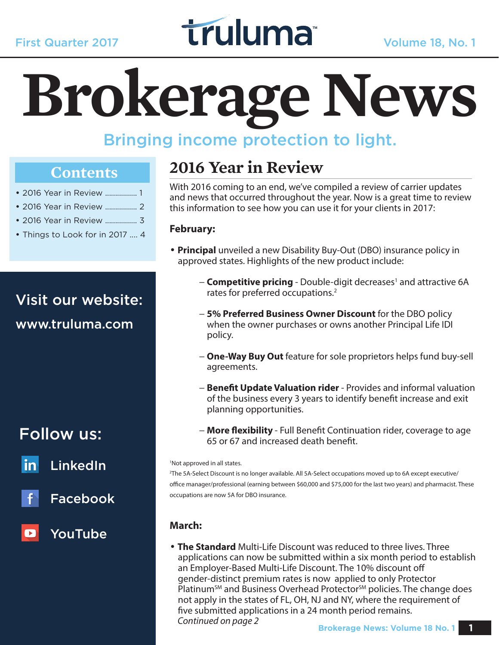# First Quarter 2017 **Truluma** Volume 18, No. 1

# **Brokerage News**

## Bringing income protection to light.

#### **Contents**

- 2016 Year in Review ................ 1
- 2016 Year in Review ................ 2
- 2016 Year in Review ................. 3
- Things to Look for in 2017 .... 4

## Visit our website: www.truluma.com

## **2016 Year in Review**

With 2016 coming to an end, we've compiled a review of carrier updates and news that occurred throughout the year. Now is a great time to review this information to see how you can use it for your clients in 2017:

#### **February:**

- **Principal** unveiled a new Disability Buy-Out (DBO) insurance policy in approved states. Highlights of the new product include:
	- − **Competitive pricing** Double-digit decreases<sup>1</sup> and attractive 6A rates for preferred occupations.2
	- − **5% Preferred Business Owner Discount** for the DBO policy when the owner purchases or owns another Principal Life IDI policy.
	- − **One-Way Buy Out** feature for sole proprietors helps fund buy-sell agreements.
	- − **Benefit Update Valuation rider** Provides and informal valuation of the business every 3 years to identify benefit increase and exit planning opportunities.
	- − **More flexibility**  Full Benefit Continuation rider, coverage to age 65 or 67 and increased death benefit.

#### Follow us:

LinkedIn



Facebook

#### YouTube  $\bullet$

#### 1 Not approved in all states.

2 The 5A-Select Discount is no longer available. All 5A-Select occupations moved up to 6A except executive/ office manager/professional (earning between \$60,000 and \$75,000 for the last two years) and pharmacist. These occupations are now 5A for DBO insurance.

#### **March:**

• **The Standard** Multi-Life Discount was reduced to three lives. Three applications can now be submitted within a six month period to establish an Employer-Based Multi-Life Discount. The 10% discount off gender-distinct premium rates is now applied to only Protector Platinum<sup>SM</sup> and Business Overhead Protector<sup>SM</sup> policies. The change does not apply in the states of FL, OH, NJ and NY, where the requirement of five submitted applications in a 24 month period remains. *Continued on page 2*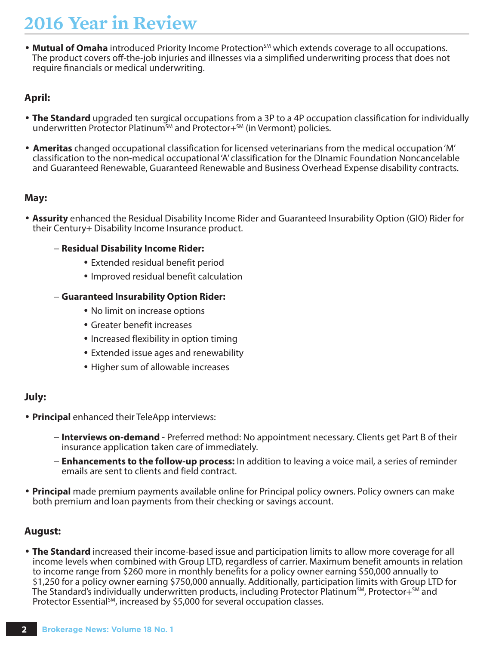## **2016 Year in Review**

• **Mutual of Omaha** introduced Priority Income Protection<sup>SM</sup> which extends coverage to all occupations. The product covers off-the-job injuries and illnesses via a simplified underwriting process that does not require financials or medical underwriting.

#### **April:**

- **The Standard** upgraded ten surgical occupations from a 3P to a 4P occupation classification for individually underwritten Protector Platinum<sup>SM</sup> and Protector+<sup>SM</sup> (in Vermont) policies.
- **Ameritas** changed occupational classification for licensed veterinarians from the medical occupation 'M' classification to the non-medical occupational 'A' classification for the DInamic Foundation Noncancelable and Guaranteed Renewable, Guaranteed Renewable and Business Overhead Expense disability contracts.

#### **May:**

• **Assurity** enhanced the Residual Disability Income Rider and Guaranteed Insurability Option (GIO) Rider for their Century+ Disability Income Insurance product.

#### − **Residual Disability Income Rider:**

- Extended residual benefit period
- Improved residual benefit calculation

#### − **Guaranteed Insurability Option Rider:**

- No limit on increase options
- Greater benefit increases
- Increased flexibility in option timing
- Extended issue ages and renewability
- Higher sum of allowable increases

#### **July:**

- **Principal** enhanced their TeleApp interviews:
	- − **Interviews on-demand** Preferred method: No appointment necessary. Clients get Part B of their insurance application taken care of immediately.
	- − **Enhancements to the follow-up process:** In addition to leaving a voice mail, a series of reminder emails are sent to clients and field contract.
- **Principal** made premium payments available online for Principal policy owners. Policy owners can make both premium and loan payments from their checking or savings account.

#### **August:**

• **The Standard** increased their income-based issue and participation limits to allow more coverage for all income levels when combined with Group LTD, regardless of carrier. Maximum benefit amounts in relation to income range from \$260 more in monthly benefits for a policy owner earning \$50,000 annually to \$1,250 for a policy owner earning \$750,000 annually. Additionally, participation limits with Group LTD for The Standard's individually underwritten products, including Protector Platinum<sup>SM</sup>, Protector+<sup>SM</sup> and Protector Essential<sup>SM</sup>, increased by \$5,000 for several occupation classes.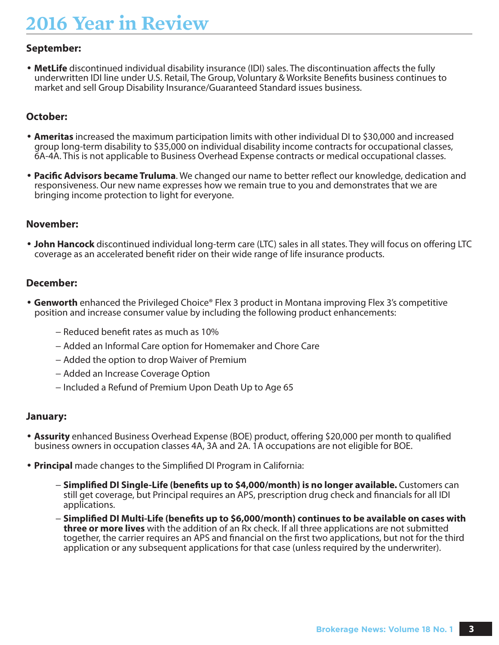## **2016 Year in Review**

#### **September:**

• **MetLife** discontinued individual disability insurance (IDI) sales. The discontinuation affects the fully underwritten IDI line under U.S. Retail, The Group, Voluntary & Worksite Benefits business continues to market and sell Group Disability Insurance/Guaranteed Standard issues business.

#### **October:**

- **Ameritas** increased the maximum participation limits with other individual DI to \$30,000 and increased group long-term disability to \$35,000 on individual disability income contracts for occupational classes, 6A-4A. This is not applicable to Business Overhead Expense contracts or medical occupational classes.
- **Pacific Advisors became Truluma**. We changed our name to better reflect our knowledge, dedication and responsiveness. Our new name expresses how we remain true to you and demonstrates that we are bringing income protection to light for everyone.

#### **November:**

• **John Hancock** discontinued individual long-term care (LTC) sales in all states. They will focus on offering LTC coverage as an accelerated benefit rider on their wide range of life insurance products.

#### **December:**

- **Genworth** enhanced the Privileged Choice® Flex 3 product in Montana improving Flex 3's competitive position and increase consumer value by including the following product enhancements:
	- − Reduced benefit rates as much as 10%
	- − Added an Informal Care option for Homemaker and Chore Care
	- − Added the option to drop Waiver of Premium
	- − Added an Increase Coverage Option
	- − Included a Refund of Premium Upon Death Up to Age 65

#### **January:**

- **Assurity** enhanced Business Overhead Expense (BOE) product, offering \$20,000 per month to qualified business owners in occupation classes 4A, 3A and 2A. 1A occupations are not eligible for BOE.
- **Principal** made changes to the Simplified DI Program in California:
	- − **Simplified DI Single-Life (benefits up to \$4,000/month) is no longer available.** Customers can still get coverage, but Principal requires an APS, prescription drug check and financials for all IDI applications.
	- − **Simplified DI Multi-Life (benefits up to \$6,000/month) continues to be available on cases with three or more lives** with the addition of an Rx check. If all three applications are not submitted together, the carrier requires an APS and financial on the first two applications, but not for the third application or any subsequent applications for that case (unless required by the underwriter).